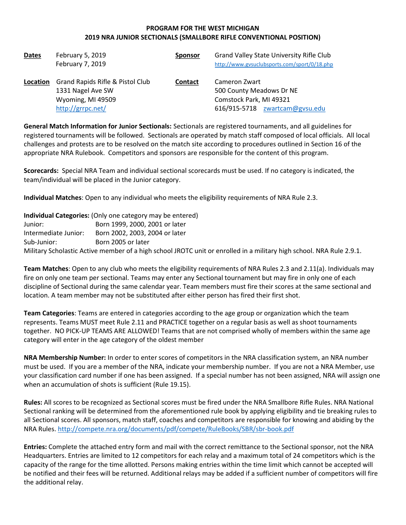# PROGRAM FOR THE WEST MICHIGAN 2019 NRA JUNIOR SECTIONALS (SMALLBORE RIFLE CONVENTIONAL POSITION)

| <b>Dates</b> | February 5, 2019<br>February 7, 2019                                                            | <b>Sponsor</b> | Grand Valley State University Rifle Club<br>http://www.gvsuclubsports.com/sport/0/18.php               |
|--------------|-------------------------------------------------------------------------------------------------|----------------|--------------------------------------------------------------------------------------------------------|
| Location     | Grand Rapids Rifle & Pistol Club<br>1331 Nagel Ave SW<br>Wyoming, MI 49509<br>http://grrpc.net/ | <b>Contact</b> | Cameron Zwart<br>500 County Meadows Dr NE<br>Comstock Park, MI 49321<br>616/915-5718 zwartcam@gvsu.edu |

General Match Information for Junior Sectionals: Sectionals are registered tournaments, and all guidelines for registered tournaments will be followed. Sectionals are operated by match staff composed of local officials. All local challenges and protests are to be resolved on the match site according to procedures outlined in Section 16 of the appropriate NRA Rulebook. Competitors and sponsors are responsible for the content of this program.

Scorecards: Special NRA Team and individual sectional scorecards must be used. If no category is indicated, the team/individual will be placed in the Junior category.

Individual Matches: Open to any individual who meets the eligibility requirements of NRA Rule 2.3.

| Individual Categories: (Only one category may be entered)                                                            |                                |  |  |  |
|----------------------------------------------------------------------------------------------------------------------|--------------------------------|--|--|--|
| Junior:                                                                                                              | Born 1999, 2000, 2001 or later |  |  |  |
| Intermediate Junior:                                                                                                 | Born 2002, 2003, 2004 or later |  |  |  |
| Sub-Junior:                                                                                                          | Born 2005 or later             |  |  |  |
| Military Scholastic Active member of a high school JROTC unit or enrolled in a military high school. NRA Rule 2.9.1. |                                |  |  |  |

Team Matches: Open to any club who meets the eligibility requirements of NRA Rules 2.3 and 2.11(a). Individuals may fire on only one team per sectional. Teams may enter any Sectional tournament but may fire in only one of each discipline of Sectional during the same calendar year. Team members must fire their scores at the same sectional and location. A team member may not be substituted after either person has fired their first shot.

Team Categories: Teams are entered in categories according to the age group or organization which the team represents. Teams MUST meet Rule 2.11 and PRACTICE together on a regular basis as well as shoot tournaments together. NO PICK-UP TEAMS ARE ALLOWED! Teams that are not comprised wholly of members within the same age category will enter in the age category of the oldest member

NRA Membership Number: In order to enter scores of competitors in the NRA classification system, an NRA number must be used. If you are a member of the NRA, indicate your membership number. If you are not a NRA Member, use your classification card number if one has been assigned. If a special number has not been assigned, NRA will assign one when an accumulation of shots is sufficient (Rule 19.15).

Rules: All scores to be recognized as Sectional scores must be fired under the NRA Smallbore Rifle Rules. NRA National Sectional ranking will be determined from the aforementioned rule book by applying eligibility and tie breaking rules to all Sectional scores. All sponsors, match staff, coaches and competitors are responsible for knowing and abiding by the NRA Rules. http://compete.nra.org/documents/pdf/compete/RuleBooks/SBR/sbr-book.pdf

Entries: Complete the attached entry form and mail with the correct remittance to the Sectional sponsor, not the NRA Headquarters. Entries are limited to 12 competitors for each relay and a maximum total of 24 competitors which is the capacity of the range for the time allotted. Persons making entries within the time limit which cannot be accepted will be notified and their fees will be returned. Additional relays may be added if a sufficient number of competitors will fire the additional relay.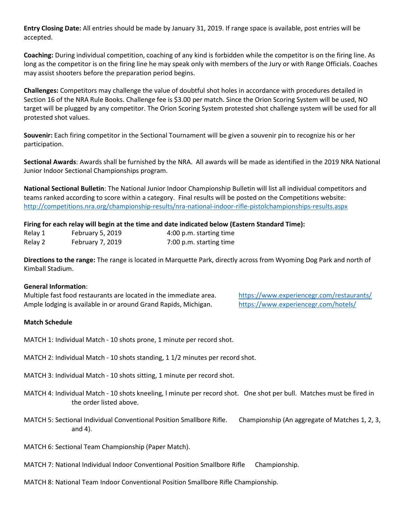Entry Closing Date: All entries should be made by January 31, 2019. If range space is available, post entries will be accepted.

Coaching: During individual competition, coaching of any kind is forbidden while the competitor is on the firing line. As long as the competitor is on the firing line he may speak only with members of the Jury or with Range Officials. Coaches may assist shooters before the preparation period begins.

Challenges: Competitors may challenge the value of doubtful shot holes in accordance with procedures detailed in Section 16 of the NRA Rule Books. Challenge fee is \$3.00 per match. Since the Orion Scoring System will be used, NO target will be plugged by any competitor. The Orion Scoring System protested shot challenge system will be used for all protested shot values.

Souvenir: Each firing competitor in the Sectional Tournament will be given a souvenir pin to recognize his or her participation.

Sectional Awards: Awards shall be furnished by the NRA. All awards will be made as identified in the 2019 NRA National Junior Indoor Sectional Championships program.

National Sectional Bulletin: The National Junior Indoor Championship Bulletin will list all individual competitors and teams ranked according to score within a category. Final results will be posted on the Competitions website: http://competitions.nra.org/championship-results/nra-national-indoor-rifle-pistolchampionships-results.aspx

## Firing for each relay will begin at the time and date indicated below (Eastern Standard Time):

| Relay 1 | February 5, 2019        | 4:00 p.m. starting time |
|---------|-------------------------|-------------------------|
| Relay 2 | <b>February 7, 2019</b> | 7:00 p.m. starting time |

Directions to the range: The range is located in Marquette Park, directly across from Wyoming Dog Park and north of Kimball Stadium.

### General Information:

Multiple fast food restaurants are located in the immediate area. https://www.experiencegr.com/restaurants/ Ample lodging is available in or around Grand Rapids, Michigan. https://www.experiencegr.com/hotels/

### Match Schedule

MATCH 1: Individual Match - 10 shots prone, 1 minute per record shot.

MATCH 2: Individual Match - 10 shots standing, 1 1/2 minutes per record shot.

MATCH 3: Individual Match - 10 shots sitting, 1 minute per record shot.

- MATCH 4: Individual Match 10 shots kneeling, l minute per record shot. One shot per bull. Matches must be fired in the order listed above.
- MATCH 5: Sectional Individual Conventional Position Smallbore Rifle. Championship (An aggregate of Matches 1, 2, 3, and 4).

MATCH 6: Sectional Team Championship (Paper Match).

- MATCH 7: National Individual Indoor Conventional Position Smallbore Rifle Championship.
- MATCH 8: National Team Indoor Conventional Position Smallbore Rifle Championship.